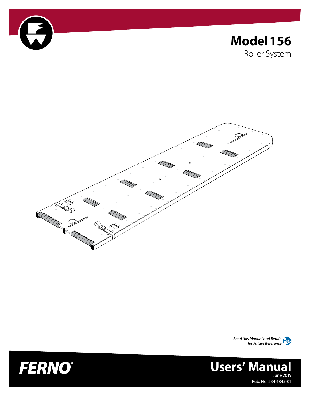

## **Model156** Roller System







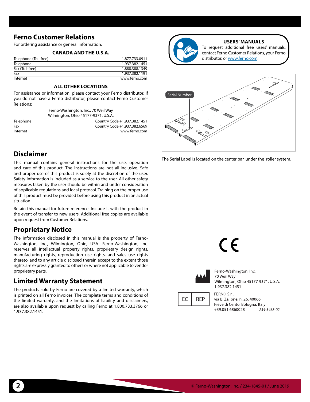#### <span id="page-1-1"></span><span id="page-1-0"></span>**Ferno Customer Relations**

For ordering assistance or general information:

#### **CANADA AND THE U.S.A.**

| Telephone (Toll-free) | 1.877.733.0911 |
|-----------------------|----------------|
| Telephone             | 1.937.382.1451 |
| Fax (Toll-free)       | 1.888.388.1349 |
| Fax                   | 1.937.382.1191 |
| Internet              | www.ferno.com  |

#### **ALL OTHER LOCATIONS**

For assistance or information, please contact your Ferno distributor. If you do not have a Ferno distributor, please contact Ferno Customer Relations:

> Ferno-Washington, Inc., 70 Weil Way Wilmington, Ohio 45177-9371, U.S.A.

| Telephone | Country Code +1.937.382.1451 |  |  |
|-----------|------------------------------|--|--|
| Fax       | Country Code +1.937.382.6569 |  |  |
| Internet  | www.ferno.com                |  |  |

#### **Disclaimer**

This manual contains general instructions for the use, operation and care of this product. The instructions are not all-inclusive. Safe and proper use of this product is solely at the discretion of the user. Safety information is included as a service to the user. All other safety measures taken by the user should be within and under consideration of applicable regulations and local protocol. Training on the proper use of this product must be provided before using this product in an actual situation.

Retain this manual for future reference. Include it with the product in the event of transfer to new users. Additional free copies are available upon request from Customer Relations.

#### **Proprietary Notice**

The information disclosed in this manual is the property of Ferno-Washington, Inc., Wilmington, Ohio, USA. Ferno-Washington, Inc. reserves all intellectual property rights, proprietary design rights, manufacturing rights, reproduction use rights, and sales use rights thereto, and to any article disclosed therein except to the extent those rights are expressly granted to others or where not applicable to vendor proprietary parts.

#### **Limited Warranty Statement**

The products sold by Ferno are covered by a limited warranty, which is printed on all Ferno invoices. The complete terms and conditions of the limited warranty, and the limitations of liability and disclaimers, are also available upon request by calling Ferno at 1.800.733.3766 or 1.937.382.1451.



#### **USERS' MANUALS**

To request additional free users' manuals, contact Ferno Customer Relations, your Ferno distributor, or [www.ferno.com.](http://ferno.com/)



The Serial Label is located on the center bar, under the roller system.

 $\epsilon$ 



Ferno-Washington, Inc. 70 Weil Way Wilmington, Ohio 45177-9371, U.S.A. 1.937.382.1451

EC **REP**  FERNO S.r.l. via B. Zallone, n. 26, 40066 Pieve di Cento, Bologna, Italy +39.051.6860028 234-3468-02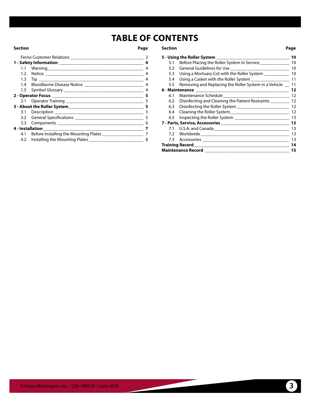## **TABLE OF CONTENTS**

|                                                                | 2              |
|----------------------------------------------------------------|----------------|
|                                                                | 4              |
|                                                                | 4              |
|                                                                | $\overline{4}$ |
|                                                                | 4              |
|                                                                | $\overline{4}$ |
|                                                                | $\overline{4}$ |
|                                                                | 5              |
|                                                                | 5              |
|                                                                | 5              |
|                                                                | 5              |
|                                                                | 5              |
|                                                                | 6              |
|                                                                | 7              |
| 4.1 Before Installing the Mounting Plates ____________________ | -7             |
|                                                                | 8              |
|                                                                |                |

#### **Section Page Section Page**

|     | 5 - Using the Roller System _____________________                                                                                       | 10 |
|-----|-----------------------------------------------------------------------------------------------------------------------------------------|----|
| 5.1 | Before Placing the Roller System In Service                                                                                             | 10 |
| 5.2 |                                                                                                                                         | 10 |
| 5.3 | Using a Mortuary Cot with the Roller System __________                                                                                  | 10 |
| 5.4 | Using a Casket with the Roller System__________________                                                                                 | 11 |
| 5.5 | Removing and Replacing the Roller System in a Vehicle _                                                                                 | 11 |
|     | 6 - Maintenance<br><u> 2000 - Jan Barnett, president eta industrial eta industrial eta industrial eta industrial eta industrial eta</u> | 12 |
| 6.1 | Maintenance Schedule <b>Exercía de Schedule</b> et al. et al. et al. et al. et al. et al. et al. et al. et al. et al. e                 | 12 |
| 6.2 | Disinfecting and Cleaning the Patient Restraints ________                                                                               | 12 |
| 6.3 |                                                                                                                                         | 12 |
| 6.4 |                                                                                                                                         | 12 |
| 6.5 |                                                                                                                                         | 13 |
|     | 7 - Parts, Service, Accessories                                                                                                         | 13 |
|     |                                                                                                                                         | 13 |
|     |                                                                                                                                         | 13 |
|     |                                                                                                                                         | 13 |
|     | <b>Training Record Executive Service Service Service Service Service Service Service Service Service Service Ser</b>                    | 14 |
|     | <b>Maintenance Record</b>                                                                                                               | 15 |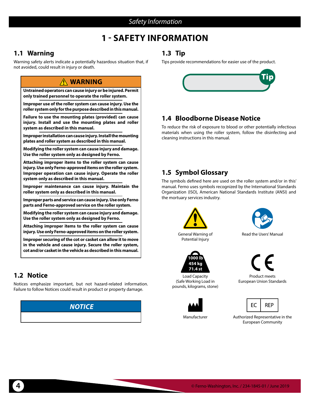#### *Safety Information*

### **1 - SAFETY INFORMATION**

#### <span id="page-3-0"></span>**1.1 Warning**

Warning safety alerts indicate a potentially hazardous situation that, if not avoided, could result in injury or death.

#### **WARNING**

**Untrained operators can cause injury or be injured. Permit only trained personnel to operate the roller system.**

**Improper use of the roller system can cause injury. Use the roller system only for the purpose described in this manual.**

**Failure to use the mounting plates (provided) can cause injury. Install and use the mounting plates and roller system as described in this manual.**

**Improper installation can cause injury. Install the mounting plates and roller system as described in this manual.**

**Modifying the roller system can cause injury and damage. Use the roller system only as designed by Ferno.**

**Attaching improper items to the roller system can cause injury. Use only Ferno-approved items on the roller system. Improper operation can cause injury. Operate the roller system only as described in this manual.**

**Improper maintenance can cause injury. Maintain the roller system only as described in this manual.**

**Improper parts and service can cause injury. Use only Ferno parts and Ferno-approved service on the roller system.**

**Modifying the roller system can cause injury and damage. Use the roller system only as designed by Ferno.**

**Attaching improper items to the roller system can cause injury. Use only Ferno-approved items on the roller system.**

**Improper securing of the cot or casket can allow it to move in the vehicle and cause injury. Secure the roller system, cot and/or casket in the vehicle as described in this manual.**

#### **1.2 Notice**

Notices emphasize important, but not hazard-related information. Failure to follow Notices could result in product or property damage.

# *NOTICE*

#### **1.3 Tip**

Tips provide recommendations for easier use of the product.



#### **1.4 Bloodborne Disease Notice**

To reduce the risk of exposure to blood or other potentially infectious materials when using the roller system, follow the disinfecting and cleaning instructions in this manual.

#### **1.5 Symbol Glossary**

The symbols defined here are used on the roller system and/or in this' manual. Ferno uses symbols recognized by the International Standards Organization (ISO), American National Standards Institute (ANSI) and the mortuary services industry.



General Warning of Potential Injury



Load Capacity (Safe Working Load in pounds, kilograms, stone)





Read the Users' Manual



Product meets European Union Standards



Manufacturer Authorized Representative in the European Community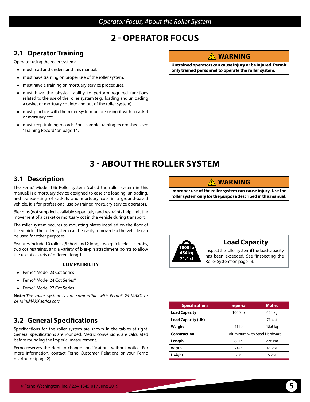#### *Operator Focus, About the Roller System*

### **2 - OPERATOR FOCUS**

#### <span id="page-4-0"></span>**2.1 Operator Training**

Operator using the roller system:

- ● must read and understand this manual.
- must have training on proper use of the roller system.
- must have a training on mortuary-service procedures.
- must have the physical ability to perform required functions related to the use of the roller system (e.g., loading and unloading a casket or mortuary cot into and out of the roller system).
- must practice with the roller system before using it with a casket or mortuary cot.
- must keep training records. For a sample training record sheet, see ["Training Record" on page 14.](#page-13-1)

#### <span id="page-4-1"></span>**WARNING**

**Untrained operators can cause injury or be injured. Permit only trained personnel to operate the roller system.**

## **3 - ABOUT THE ROLLER SYSTEM**

#### **3.1 Description**

The Ferno<sup>®</sup> Model 156 Roller system (called the roller system in this manual) is a mortuary device designed to ease the loading, unloading, and transporting of caskets and mortuary cots in a ground-based vehicle. It is for professional use by trained mortuary-service operators.

Bier pins (not supplied, available separately) and restraints help limit the movement of a casket or mortuary cot in the vehicle during transport.

The roller system secures to mounting plates installed on the floor of the vehicle. The roller system can be easily removed so the vehicle can be used for other purposes.

Features include 10 rollers (8 short and 2 long), two quick-release knobs, two cot restraints, and a variety of bier-pin attachment points to allow the use of caskets of different lengths.

#### **COMPATIBILITY**

- Ferno<sup>®</sup> Model 23 Cot Series
- Ferno® Model 24 Cot Series\*
- Ferno<sup>®</sup> Model 27 Cot Series

 **Note:** *The roller system is not compatible with Ferno® 24-MAXX or 24-MiniMAXX series cots.*

#### **3.2 General Specifications**

Specifications for the roller system are shown in the tables at right. General specifications are rounded. Metric conversions are calculated before rounding the Imperial measurement.

Ferno reserves the right to change specifications without notice. For more information, contact Ferno Customer Relations or your Ferno distributor (page 2).

#### **WARNING**

**Improper use of the roller system can cause injury. Use the roller system only for the purpose described in this manual.**



#### **Load Capacity**

Inspect the roller system if the load capacity has been exceeded. See ["Inspecting the](#page-12-1)  [Roller System" on page 13](#page-12-1).

| <b>Specifications</b>     | <b>Imperial</b>              | <b>Metric</b> |  |
|---------------------------|------------------------------|---------------|--|
| <b>Load Capacity</b>      | 1000 lb                      | 454 kg        |  |
| <b>Load Capacity (UK)</b> |                              | 71.4 st       |  |
| Weight                    | 41 lb                        | 18.6 kg       |  |
|                           | Aluminum with Steel Hardware |               |  |
| Construction              |                              |               |  |
| Length                    | 89 in                        | 226 cm        |  |
| Width                     | 24 in                        | 61 cm         |  |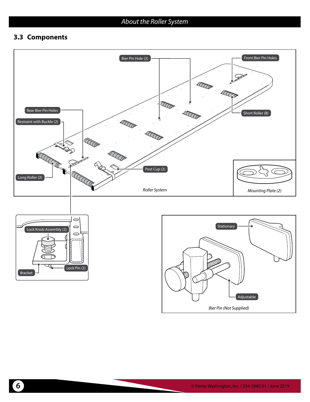#### <span id="page-5-0"></span>**3.3 Components**



*Bier Pin (Not Supplied)*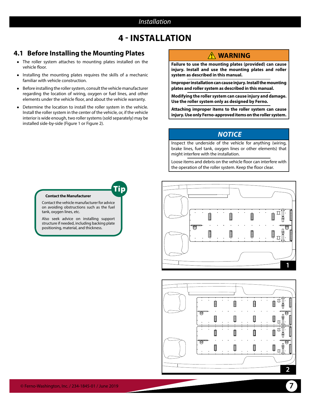#### *Installation*

### **4 - INSTALLATION**

#### <span id="page-6-0"></span>**4.1 Before Installing the Mounting Plates**

- The roller system attaches to mounting plates installed on the vehicle floor.
- ● Installing the mounting plates requires the skills of a mechanic familiar with vehicle construction.
- Before installing the roller system, consult the vehicle manufacturer regarding the location of wiring, oxygen or fuel lines, and other elements under the vehicle floor, and about the vehicle warranty.
- Determine the location to install the roller system in the vehicle. Install the roller system in the center of the vehicle, or, if the vehicle interior is wide enough, two roller systems (sold separately) may be installed side-by-side ([Figure 1](#page-6-1) or [Figure 2\)](#page-6-2).

### <span id="page-6-3"></span>**WARNING**

**Failure to use the mounting plates (provided) can cause injury. Install and use the mounting plates and roller system as described in this manual.**

**Improper installation can cause injury. Install the mounting plates and roller system as described in this manual.**

**Modifying the roller system can cause injury and damage. Use the roller system only as designed by Ferno.**

**Attaching improper items to the roller system can cause injury. Use only Ferno-approved items on the roller system.**

#### *NOTICE*

Inspect the underside of the vehicle for anything (wiring, brake lines, fuel tank, oxygen lines or other elements) that might interfere with the installation.

Loose items and debris on the vehicle floor can interfere with the operation of the roller system. Keep the floor clear.

<span id="page-6-2"></span><span id="page-6-1"></span>

Tip

#### **Contact the Manufacturer**

Contact the vehicle manufacturer for advice on avoiding obstructions such as the fuel tank, oxygen lines, etc.

Also seek advice on installing support structure if needed, including backing plate positioning, material, and thickness.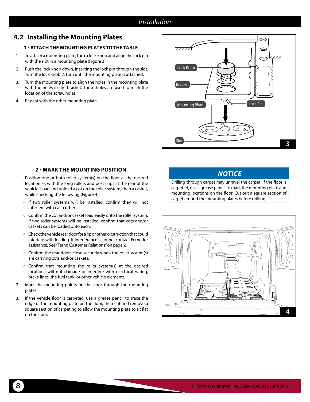#### *Installation*

#### <span id="page-7-0"></span>**4.2 Installing the Mounting Plates**

#### **1 - ATTACH THE MOUNTING PLATES TO THE TABLE**

- 1. To attach a mounting plate, turn a lock knob and align the lock pin with the slot in a mounting plate [\(Figure 3\).](#page-7-2)
- 2. Push the lock knob down, inserting the lock pin through the slot. Turn the lock knob ¼ turn until the mounting plate is attached.
- 3. Turn the mounting plate to align the holes in the mounting plate with the holes in the bracket. These holes are used to mark the location of the screw holes.
- 4. Repeat with the other mounting plate.



#### **2 - MARK THE MOUNTING POSITION**

- 1. Position one or both roller system(s) on the floor at the desired location(s), with the long rollers and post cups at the rear of the vehicle. Load and unload a cot on the roller system, then a casket, while checking the following [\(Figure 4\):](#page-7-1)
	- If two roller systems will be installed, confirm they will not interfere with each other
	- Confirm the cot and/or casket load easily onto the roller system. If two roller systems will be installed, confirm that cots and/or caskets can be loaded onto each.
	- Check the vehicle rear door for a lip or other obstruction that could interfere with loading. If interference is found, contact Ferno for assistance. See ["Ferno Customer Relations" on page 2.](#page-1-1)
	- $\circ$  Confirm the rear doors close securely when the roller system(s) are carrying cots and/or caskets.
	- Confirm that mounting the roller system(s) at the desired locations will not damage or interfere with electrical wiring, brake lines, the fuel tank, or other vehicle elements.
- 2. Mark the mounting points on the floor through the mounting plates.
- 3. If the vehicle floor is carpeted, use a grease pencil to trace the edge of the mounting plate on the floor, then cut and remove a square section of carpeting to allow the mounting plate to sit flat on the floor.

#### <span id="page-7-2"></span><span id="page-7-1"></span>*NOTICE*

Drilling through carpet may unravel the carpet. If the floor is carpeted, use a grease pencil to mark the mounting plate and mounting locations on the floor. Cut out a square section of carpet around the mounting plates before drilling.

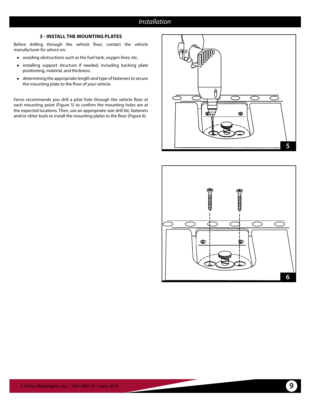#### *Installation*

#### **3 - INSTALL THE MOUNTING PLATES**

Before drilling through the vehicle floor, contact the vehicle manufacturer for advice on:

- ● avoiding obstructions such as the fuel tank, oxygen lines, etc.
- ● installing support structure if needed, including backing plate positioning, material, and thickness.
- ● determining the appropriate length and type of fasteners to secure the mounting plate to the floor of your vehicle.

Ferno recommends you drill a pilot hole through the vehicle floor at each mounting point [\(Figure 5\)](#page-8-0) to confirm the mounting holes are at the expected locations. Then, use an appropriate-size drill bit, fasteners and/or other tools to install the mounting plates to the floor [\(Figure 6\).](#page-8-1)



<span id="page-8-1"></span><span id="page-8-0"></span>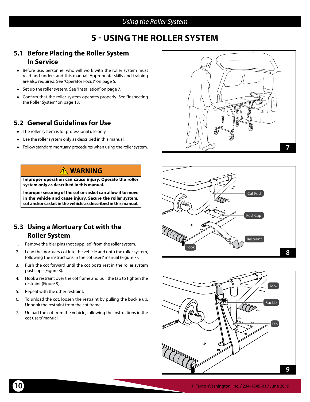#### *Using the Roller System*

### **5 - USING THE ROLLER SYSTEM**

#### <span id="page-9-0"></span>**5.1 Before Placing the Roller System In Service**

- Before use, personnel who will work with the roller system must read and understand this manual. Appropriate skills and training are also required. See ["Operator Focus" on page 5.](#page-4-1)
- Set up the roller system. See ["Installation" on page 7.](#page-6-3)
- Confirm that the roller system operates properly. See ["Inspecting](#page-12-1) [the Roller System" on page 13.](#page-12-1)

#### **5.2 General Guidelines for Use**

- The roller system is for professional use only.
- ● Use the roller system only as described in this manual.
- Follow standard mortuary procedures when using the roller system.

#### **WARNING**

**Improper operation can cause injury. Operate the roller system only as described in this manual.**

**Improper securing of the cot or casket can allow it to move in the vehicle and cause injury. Secure the roller system, cot and/or casket in the vehicle as described in this manual.**

#### **5.3 Using a Mortuary Cot with the Roller System**

- 1. Remove the bier pins (not supplied) from the roller system.
- 2. Load the mortuary cot into the vehicle and onto the roller system, following the instructions in the cot users' manual [\(Figure 7\)](#page-9-1).
- 3. Push the cot forward until the cot posts rest in the roller system post cups [\(Figure 8\).](#page-9-2)
- 4. Hook a restraint over the cot frame and pull the tab to tighten the restraint [\(Figure 9\).](#page-9-3)
- 5. Repeat with the other restraint.
- 6. To unload the cot, loosen the restraint by pulling the buckle up. Unhook the restraint from the cot frame.
- 7. Unload the cot from the vehicle, following the instructions in the cot users' manual.



<span id="page-9-1"></span>

<span id="page-9-3"></span><span id="page-9-2"></span>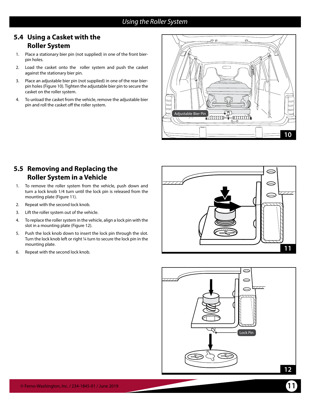#### *Using the Roller System*

#### <span id="page-10-0"></span>**5.4 Using a Casket with the Roller System**

- 1. Place a stationary bier pin (not supplied) in one of the front bierpin holes.
- 2. Load the casket onto the roller system and push the casket against the stationary bier pin.
- 3. Place an adjustable bier pin (not supplied) in one of the rear bierpin holes [\(Figure 10\).](#page-10-3) Tighten the adjustable bier pin to secure the casket on the roller system.
- 4. To unload the casket from the vehicle, remove the adjustable bier pin and roll the casket off the roller system.



#### **5.5 Removing and Replacing the Roller System in a Vehicle**

- 1. To remove the roller system from the vehicle, push down and turn a lock knob 1/4 turn until the lock pin is released from the mounting plate [\(Figure 11\).](#page-10-1)
- 2. Repeat with the second lock knob.
- 3. Lift the roller system out of the vehicle.
- 4. To replace the roller system in the vehicle, align a lock pin with the slot in a mounting plate [\(Figure 12\)](#page-10-2).
- 5. Push the lock knob down to insert the lock pin through the slot. Turn the lock knob left or right ¼ turn to secure the lock pin in the mounting plate.
- 6. Repeat with the second lock knob.

<span id="page-10-3"></span>

<span id="page-10-2"></span><span id="page-10-1"></span>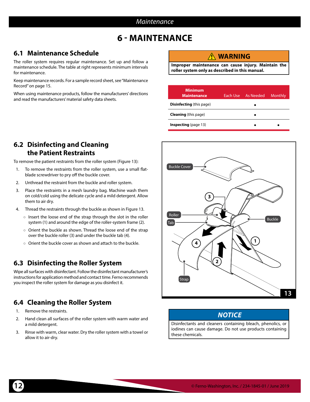### **6 - MAINTENANCE**

### <span id="page-11-0"></span>**6.1 Maintenance Schedule**

The roller system requires regular maintenance. Set up and follow a maintenance schedule. The table at right represents minimum intervals for maintenance.

Keep maintenance records. For a sample record sheet, see ["Maintenance](#page-14-1) [Record" on page 15.](#page-14-1)

When using maintenance products, follow the manufacturers' directions and read the manufacturers' material safety data sheets.

#### **WARNING**

**Improper maintenance can cause injury. Maintain the roller system only as described in this manual.**

| <b>Minimum</b><br><b>Maintenance</b> | Each Use As Needed | Monthly |
|--------------------------------------|--------------------|---------|
| <b>Disinfecting</b> (this page)      |                    |         |
| <b>Cleaning</b> (this page)          |                    |         |
| <b>Inspecting</b> (page 13)          |                    |         |

#### **6.2 Disinfecting and Cleaning the Patient Restraints**

To remove the patient restraints from the roller system [\(Figure 13\):](#page-11-1)

- 1. To remove the restraints from the roller system, use a small flatblade screwdriver to pry off the buckle cover.
- 2. Unthread the restraint from the buckle and roller system.
- 3. Place the restraints in a mesh laundry bag. Machine wash them on cold/cold using the delicate cycle and a mild detergent. Allow them to air dry.
- 4. Thread the restraints through the buckle as shown in [Figure 13](#page-11-1).
	- Insert the loose end of the strap through the slot in the roller system (1) and around the edge of the roller-system frame (2).
	- Orient the buckle as shown. Thread the loose end of the strap over the buckle roller (3) and under the buckle tab (4).
	- Orient the buckle cover as shown and attach to the buckle.

### **6.3 Disinfecting the Roller System**

Wipe all surfaces with disinfectant. Follow the disinfectant manufacturer's instructions for application method and contact time. Ferno recommends you inspect the roller system for damage as you disinfect it.

### **6.4 Cleaning the Roller System**

- 1. Remove the restraints.
- 2. Hand clean all surfaces of the roller system with warm water and a mild detergent.
- 3. Rinse with warm, clear water. Dry the roller system with a towel or allow it to air-dry.



#### <span id="page-11-1"></span>*NOTICE*

Disinfectants and cleaners containing bleach, phenolics, or iodines can cause damage. Do not use products containing these chemicals.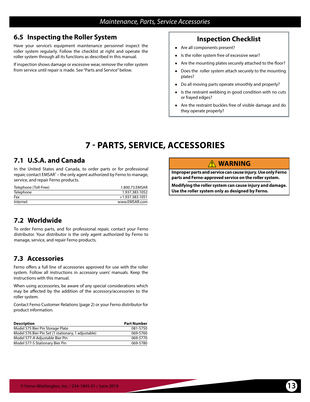#### <span id="page-12-1"></span><span id="page-12-0"></span>**6.5 Inspecting the Roller System**

Have your service's equipment maintenance personnel inspect the roller system regularly. Follow the checklist at right and operate the roller system through all its functions as described in this manual.

If inspection shows damage or excessive wear, remove the roller system from service until repair is made. See "Parts and Service" below.

#### **Inspection Checklist**

- Are all components present?
- ● Is the roller system free of excessive wear?
- Are the mounting plates securely attached to the floor?
- Does the roller system attach securely to the mounting plates?
- ● Do all moving parts operate smoothly and properly?
- ● Is the restraint webbing in good condition with no cuts or frayed edges?
- ● Are the restraint buckles free of visible damage and do they operate properly?

### **7 - PARTS, SERVICE, ACCESSORIES**

#### **7.1 U.S.A. and Canada**

In the United States and Canada, to order parts or for professional repair, contact EMSAR<sup>®</sup> – the only agent authorized by Ferno to manage, service, and repair Ferno products.

| Telephone (Toll-Free) | 1.800.73.EMSAR  |
|-----------------------|-----------------|
| Telephone             | 1.937.383.1052  |
| Fax                   | +1.937.383.1051 |
| Internet              | www.EMSAR.com   |

### **7.2 Worldwide**

To order Ferno parts, and for professional repair, contact your Ferno distributor. Your distributor is the only agent authorized by Ferno to manage, service, and repair Ferno products.

### **7.3 Accessories**

Ferno offers a full line of accessories approved for use with the roller system. Follow all instructions in accessory users' manuals. Keep the instructions with this manual.

When using accessories, be aware of any special considerations which may be affected by the addition of the accessory/accessories to the roller system.

Contact Ferno Customer Relations (page 2) or your Ferno distributor for product information.

| <b>Description</b>                                  | <b>Part Number</b> |
|-----------------------------------------------------|--------------------|
| Model 575 Bier Pin Storage Plate                    | 081-5750           |
| Model 576 Bier Pin Set (1 stationary, 1 adjustable) | 069-5760           |
| Model 577-A Adjustable Bier Pin                     | 069-5770           |
| Model 577-S Stationary Bier Pin                     | 069-5780           |

#### **WARNING**

**Improper parts and service can cause injury. Use only Ferno parts and Ferno-approved service on the roller system.**

**Modifying the roller system can cause injury and damage. Use the roller system only as designed by Ferno.**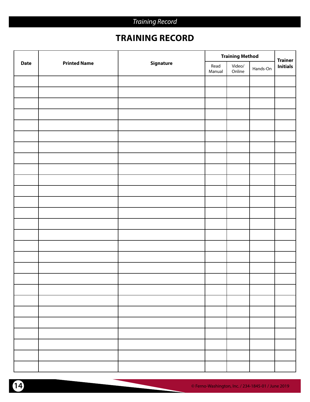### <span id="page-13-1"></span>*Training Record*

## **TRAINING RECORD**

<span id="page-13-0"></span>

|             |                     | <b>Training Method</b> |                |                  | <b>Trainer</b> |                 |
|-------------|---------------------|------------------------|----------------|------------------|----------------|-----------------|
| <b>Date</b> | <b>Printed Name</b> | Signature              | Read<br>Manual | Video/<br>Online | Hands-On       | <b>Initials</b> |
|             |                     |                        |                |                  |                |                 |
|             |                     |                        |                |                  |                |                 |
|             |                     |                        |                |                  |                |                 |
|             |                     |                        |                |                  |                |                 |
|             |                     |                        |                |                  |                |                 |
|             |                     |                        |                |                  |                |                 |
|             |                     |                        |                |                  |                |                 |
|             |                     |                        |                |                  |                |                 |
|             |                     |                        |                |                  |                |                 |
|             |                     |                        |                |                  |                |                 |
|             |                     |                        |                |                  |                |                 |
|             |                     |                        |                |                  |                |                 |
|             |                     |                        |                |                  |                |                 |
|             |                     |                        |                |                  |                |                 |
|             |                     |                        |                |                  |                |                 |
|             |                     |                        |                |                  |                |                 |
|             |                     |                        |                |                  |                |                 |
|             |                     |                        |                |                  |                |                 |
|             |                     |                        |                |                  |                |                 |
|             |                     |                        |                |                  |                |                 |
|             |                     |                        |                |                  |                |                 |
|             |                     |                        |                |                  |                |                 |
|             |                     |                        |                |                  |                |                 |
|             |                     |                        |                |                  |                |                 |
|             |                     |                        |                |                  |                |                 |
|             |                     |                        |                |                  |                |                 |
|             |                     |                        |                |                  |                |                 |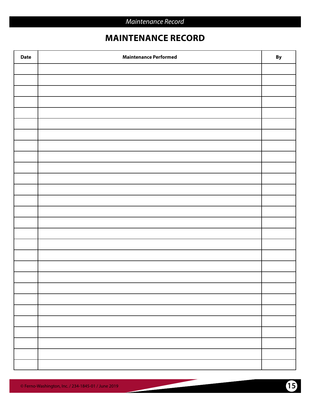### <span id="page-14-1"></span>**MAINTENANCE RECORD**

<span id="page-14-0"></span>

| <b>Date</b> | <b>Maintenance Performed</b> | By |
|-------------|------------------------------|----|
|             |                              |    |
|             |                              |    |
|             |                              |    |
|             |                              |    |
|             |                              |    |
|             |                              |    |
|             |                              |    |
|             |                              |    |
|             |                              |    |
|             |                              |    |
|             |                              |    |
|             |                              |    |
|             |                              |    |
|             |                              |    |
|             |                              |    |
|             |                              |    |
|             |                              |    |
|             |                              |    |
|             |                              |    |
|             |                              |    |
|             |                              |    |
|             |                              |    |
|             |                              |    |
|             |                              |    |
|             |                              |    |
|             |                              |    |
|             |                              |    |
|             |                              |    |